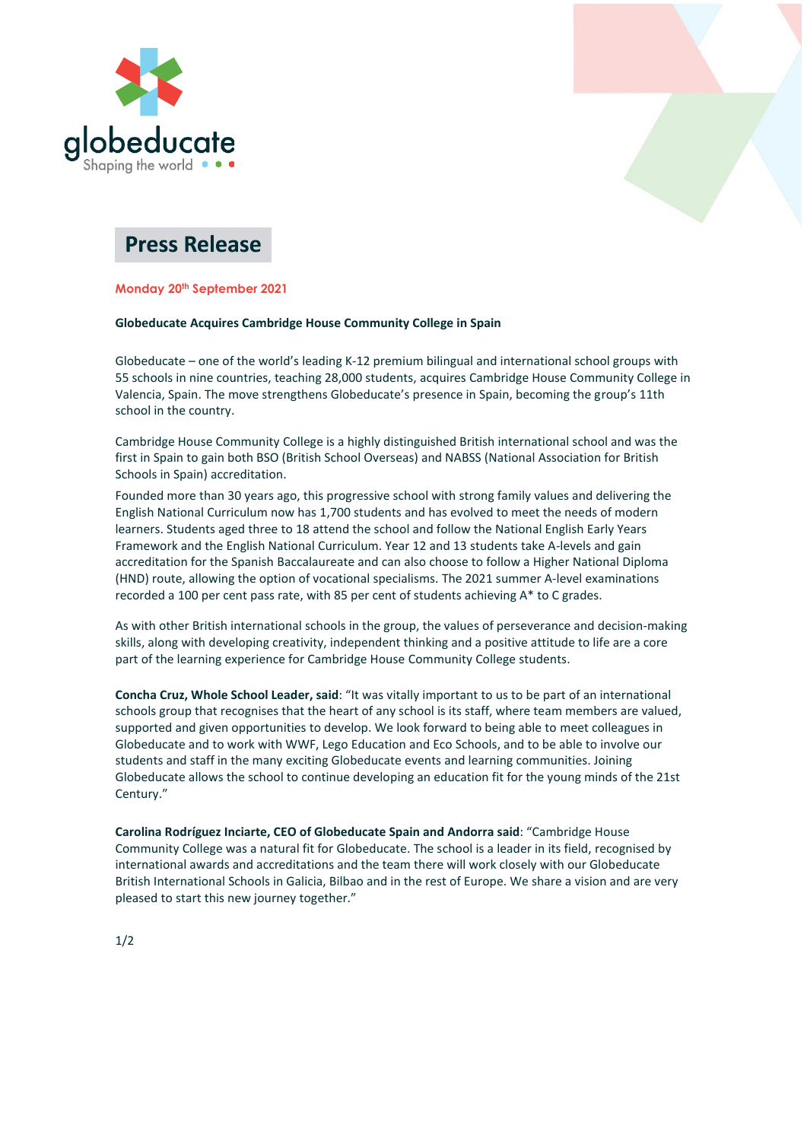



# **Press Release**

# **Monday 20th September 2021**

# **Globeducate Acquires Cambridge House Community College in Spain**

Globeducate – one of the world's leading K-12 premium bilingual and international school groups with 55 schools in nine countries, teaching 28,000 students, acquires Cambridge House Community College in Valencia, Spain. The move strengthens Globeducate's presence in Spain, becoming the group's 11th school in the country.

Cambridge House Community College is a highly distinguished British international school and was the first in Spain to gain both BSO (British School Overseas) and NABSS (National Association for British Schools in Spain) accreditation.

Founded more than 30 years ago, this progressive school with strong family values and delivering the English National Curriculum now has 1,700 students and has evolved to meet the needs of modern learners. Students aged three to 18 attend the school and follow the National English Early Years Framework and the English National Curriculum. Year 12 and 13 students take A-levels and gain accreditation for the Spanish Baccalaureate and can also choose to follow a Higher National Diploma (HND) route, allowing the option of vocational specialisms. The 2021 summer A-level examinations recorded a 100 per cent pass rate, with 85 per cent of students achieving A\* to C grades.

As with other British international schools in the group, the values of perseverance and decision-making skills, along with developing creativity, independent thinking and a positive attitude to life are a core part of the learning experience for Cambridge House Community College students.

**Concha Cruz, Whole School Leader, said**: "It was vitally important to us to be part of an international schools group that recognises that the heart of any school is its staff, where team members are valued, supported and given opportunities to develop. We look forward to being able to meet colleagues in Globeducate and to work with WWF, Lego Education and Eco Schools, and to be able to involve our students and staff in the many exciting Globeducate events and learning communities. Joining Globeducate allows the school to continue developing an education fit for the young minds of the 21st Century."

**Carolina Rodríguez Inciarte, CEO of Globeducate Spain and Andorra said**: "Cambridge House Community College was a natural fit for Globeducate. The school is a leader in its field, recognised by international awards and accreditations and the team there will work closely with our Globeducate British International Schools in Galicia, Bilbao and in the rest of Europe. We share a vision and are very pleased to start this new journey together."